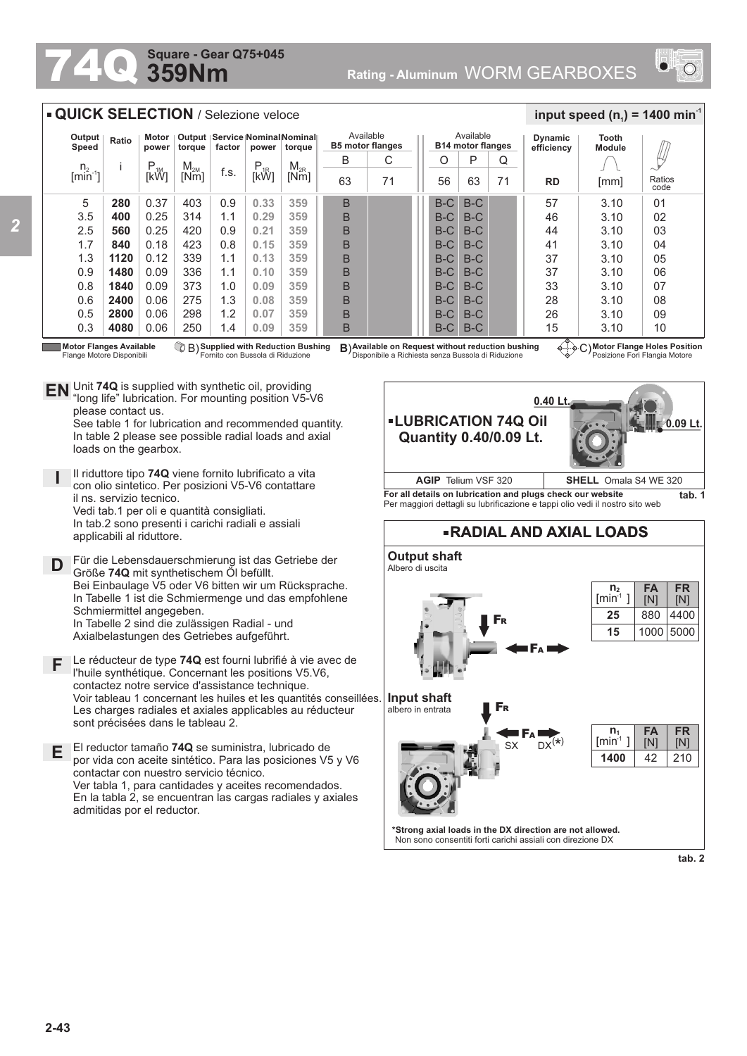## **359Nm Square - Gear Q75+045**

Unit **74Q** is supplied with synthetic oil, providing **EN** Unit 74Q is supplied with synthetic oil, providing<br>"long life" lubrication. For mounting position V5-V6

Il riduttore tipo **74Q** viene fornito lubrificato a vita con olio sintetico. Per posizioni V5-V6 contattare

Für die Lebensdauerschmierung ist das Getriebe der

Bei Einbaulage V5 oder V6 bitten wir um Rücksprache. In Tabelle 1 ist die Schmiermenge und das empfohlene

Le réducteur de type **74Q** est fourni lubrifié à vie avec de l'huile synthétique. Concernant les positions V5.V6, contactez notre service d'assistance technique.

Les charges radiales et axiales applicables au réducteur

Vedi tab.1 per oli e quantità consigliati. In tab.2 sono presenti i carichi radiali e assiali

Größe **74Q** mit synthetischem Öl befüllt.

In Tabelle 2 sind die zulässigen Radial - und Axialbelastungen des Getriebes aufgeführt.

**E** El reductor tamaño **74Q** se suministra, lubricado de

contactar con nuestro servicio técnico.

sont précisées dans le tableau 2.

admitidas por el reductor.

por vida con aceite sintético. Para las posiciones V5 y V6

Ver tabla 1, para cantidades y aceites recomendados. En la tabla 2, se encuentran las cargas radiales y axiales

See table 1 for lubrication and recommended quantity. In table 2 please see possible radial loads and axial



## **QUICK SELECTION** / Selezione veloce

| Output<br>Speed       | Ratio | Motor<br>power | torque   | Output   Service   Nominal Nominal<br>factor<br>torque<br>power |           |          | Available<br><b>B5 motor flanges</b> |    |  | Available<br><b>B14 motor flanges</b> |       |    | <b>Dynamic</b><br>efficiency   | Tooth<br><b>Module</b> |                |
|-----------------------|-------|----------------|----------|-----------------------------------------------------------------|-----------|----------|--------------------------------------|----|--|---------------------------------------|-------|----|--------------------------------|------------------------|----------------|
| $n_{2}$               |       | $P_{1M}$       | $M_{2M}$ |                                                                 | $P_{.1R}$ | $M_{2R}$ | B                                    | С  |  | Ο                                     | P     | Q  |                                |                        | Щ              |
| $\lim_{n \to \infty}$ |       | [kW]           | [Nm]     | f.s.                                                            | [kW]      | [Nm]     | 63                                   | 71 |  | 56                                    | 63    | 71 | <b>RD</b>                      | [mm]                   | Ratios<br>code |
| 5                     | 280   | 0.37           | 403      | 0.9                                                             | 0.33      | 359      | B                                    |    |  | $B-C$                                 | $B-C$ |    | 57                             | 3.10                   | 01             |
| 3.5                   | 400   | 0.25           | 314      | 1.1                                                             | 0.29      | 359      | B                                    |    |  | $B-C$                                 | $B-C$ |    | 46                             | 3.10                   | 02             |
| 2.5                   | 560   | 0.25           | 420      | 0.9                                                             | 0.21      | 359      | B                                    |    |  | $B-C$                                 | $B-C$ |    | 44                             | 3.10                   | 03             |
| 1.7                   | 840   | 0.18           | 423      | 0.8                                                             | 0.15      | 359      | B                                    |    |  | $B-C$                                 | $B-C$ |    | 41                             | 3.10                   | 04             |
| 1.3                   | 1120  | 0.12           | 339      | 1.1                                                             | 0.13      | 359      | B                                    |    |  | $B-C$                                 | $B-C$ |    | 37                             | 3.10                   | 05             |
| 0.9                   | 1480  | 0.09           | 336      | 1.1                                                             | 0.10      | 359      | B                                    |    |  | $B-C$                                 | $B-C$ |    | 37                             | 3.10                   | 06             |
| 0.8                   | 1840  | 0.09           | 373      | 1.0                                                             | 0.09      | 359      | B                                    |    |  | $B-C$                                 | $B-C$ |    | 33                             | 3.10                   | 07             |
| 0.6                   | 2400  | 0.06           | 275      | 1.3                                                             | 0.08      | 359      | B                                    |    |  | $B-C$                                 | $B-C$ |    | 28                             | 3.10                   | 08             |
| 0.5                   | 2800  | 0.06           | 298      | 1.2                                                             | 0.07      | 359      | B                                    |    |  | $B-C$                                 | $B-C$ |    | 26                             | 3.10                   | 09             |
| 0.3                   | 4080  | 0.06           | 250      | 1.4                                                             | 0.09      | 359      | B                                    |    |  | $B-C$                                 | $B-C$ |    | 15<br>$\overline{\phantom{a}}$ | 3.10                   | 10             |

**Motor Flanges Available** Flange Motore Disponibili

**D**

**F**

**I**

please contact us.

loads on the gearbox.

il ns. servizio tecnico.

applicabili al riduttore.

Schmiermittel angegeben.

**Supplied with Reduction Bushing** Fornito con Bussola di Riduzione

B) **B**) C) **Available on Request without reduction bushing** Disponibile a Richiesta senza Bussola di Riduzione

**Motor Flange Holes Position** Posizione Fori Flangia Motore

 $\frac{1}{2}$  **input speed (n**<sub>1</sub>) = 1400 min<sup>-1</sup>



Per maggiori dettagli su lubrificazione e tappi olio vedi il nostro sito web

## **FR RADIAL AND AXIAL LOADS Output shaft** Albero di uscita 5000 **FR** [N] **FA** [N] 1000 **n 2**  $[min^1]$ **15 25** 880 4400



**tab. 2**